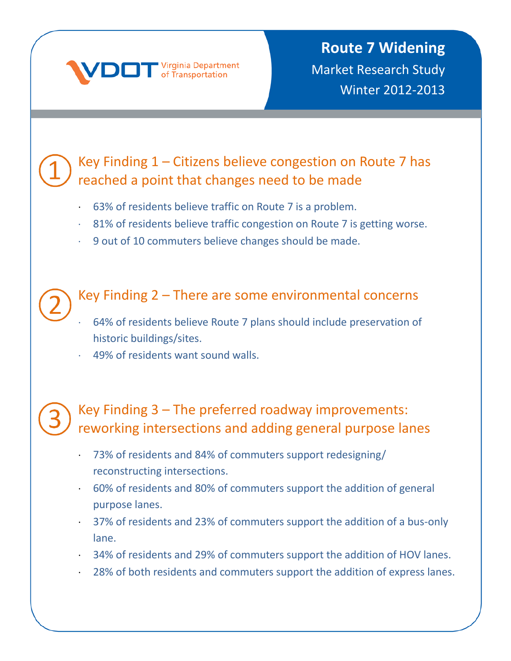

### Key Finding 1 – Citizens believe congestion on Route 7 has reached a point that changes need to be made

- ⋅ 63% of residents believe traffic on Route 7 is a problem.
- ⋅ 81% of residents believe traffic congestion on Route 7 is getting worse.
- ⋅ 9 out of 10 commuters believe changes should be made.

#### Key Finding 2 – There are some environmental concerns

- ⋅ 64% of residents believe Route 7 plans should include preservation of historic buildings/sites.
- 49% of residents want sound walls.

### Key Finding 3 – The preferred roadway improvements: reworking intersections and adding general purpose lanes

- ⋅ 73% of residents and 84% of commuters support redesigning/ reconstructing intersections.
- ⋅ 60% of residents and 80% of commuters support the addition of general purpose lanes.
- ⋅ 37% of residents and 23% of commuters support the addition of a bus-only lane.
- ⋅ 34% of residents and 29% of commuters support the addition of HOV lanes.
- ⋅ 28% of both residents and commuters support the addition of express lanes.